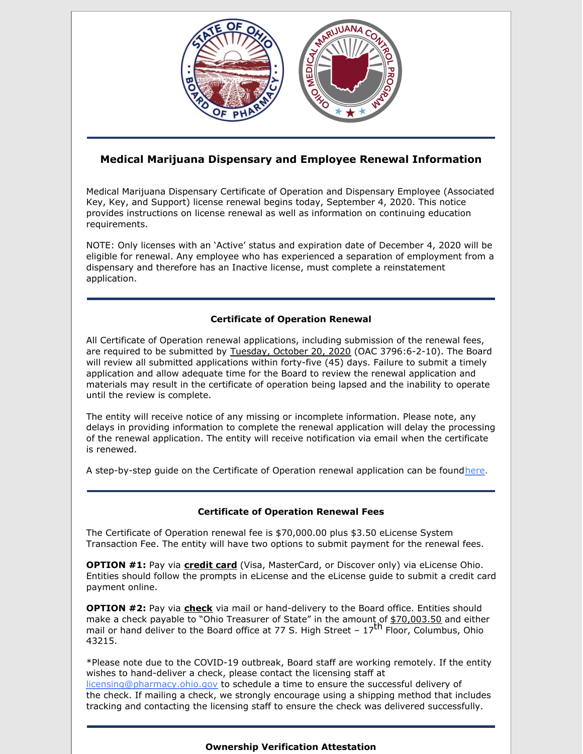

# **Medical Marijuana Dispensary and Employee Renewal Information**

Medical Marijuana Dispensary Certificate of Operation and Dispensary Employee (Associated Key, Key, and Support) license renewal begins today, September 4, 2020. This notice provides instructions on license renewal as well as information on continuing education requirements.

NOTE: Only licenses with an 'Active' status and expiration date of December 4, 2020 will be eligible for renewal. Any employee who has experienced a separation of employment from a dispensary and therefore has an Inactive license, must complete a reinstatement application.

# **Certificate of Operation Renewal**

All Certificate of Operation renewal applications, including submission of the renewal fees, are required to be submitted by Tuesday, October 20, 2020 (OAC 3796:6-2-10). The Board will review all submitted applications within forty-five (45) days. Failure to submit a timely application and allow adequate time for the Board to review the renewal application and materials may result in the certificate of operation being lapsed and the inability to operate until the review is complete.

The entity will receive notice of any missing or incomplete information. Please note, any delays in providing information to complete the renewal application will delay the processing of the renewal application. The entity will receive notification via email when the certificate is renewed.

A step-by-step guide on the Certificate of Operation renewal application can be found[here](https://medicalmarijuana.ohio.gov/Documents/LicenseeResources/Dispensary Licensee Resources/Dispensary & Employee License Renewal/eLicense Guide - Dispensary - Certificate of Operation Renewal Application.pdf).

# **Certificate of Operation Renewal Fees**

The Certificate of Operation renewal fee is \$70,000.00 plus \$3.50 eLicense System Transaction Fee. The entity will have two options to submit payment for the renewal fees.

**OPTION #1:** Pay via **credit card** (Visa, MasterCard, or Discover only) via eLicense Ohio. Entities should follow the prompts in eLicense and the eLicense guide to submit a credit card payment online.

**OPTION #2:** Pay via **check** via mail or hand-delivery to the Board office. Entities should make a check payable to "Ohio Treasurer of State" in the amount of \$70,003.50 and either mail or hand deliver to the Board office at 77 S. High Street  $-17^{\text{th}}$  Floor, Columbus, Ohio 43215.

\*Please note due to the COVID-19 outbreak, Board staff are working remotely. If the entity wishes to hand-deliver a check, please contact the licensing staff at [licensing@pharmacy.ohio.gov](mailto:licensing@pharmacy.ohio.gov) to schedule a time to ensure the successful delivery of the check. If mailing a check, we strongly encourage using a shipping method that includes tracking and contacting the licensing staff to ensure the check was delivered successfully.

#### **Ownership Verification Attestation**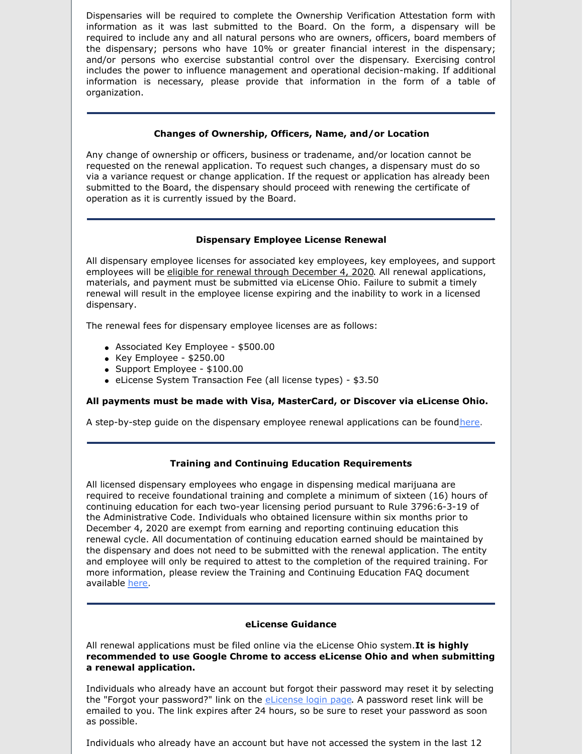Dispensaries will be required to complete the Ownership Verification Attestation form with information as it was last submitted to the Board. On the form, a dispensary will be required to include any and all natural persons who are owners, officers, board members of the dispensary; persons who have 10% or greater financial interest in the dispensary; and/or persons who exercise substantial control over the dispensary. Exercising control includes the power to influence management and operational decision-making. If additional information is necessary, please provide that information in the form of a table of organization.

#### **Changes of Ownership, Officers, Name, and/or Location**

Any change of ownership or officers, business or tradename, and/or location cannot be requested on the renewal application. To request such changes, a dispensary must do so via a variance request or change application. If the request or application has already been submitted to the Board, the dispensary should proceed with renewing the certificate of operation as it is currently issued by the Board.

#### **Dispensary Employee License Renewal**

All dispensary employee licenses for associated key employees, key employees, and support employees will be eligible for renewal through December 4, 2020. All renewal applications, materials, and payment must be submitted via eLicense Ohio. Failure to submit a timely renewal will result in the employee license expiring and the inability to work in a licensed dispensary.

The renewal fees for dispensary employee licenses are as follows:

- Associated Key Employee \$500.00
- $\bullet$  Key Employee \$250.00
- Support Employee \$100.00
- eLicense System Transaction Fee (all license types) \$3.50

# **All payments must be made with Visa, MasterCard, or Discover via eLicense Ohio.**

A step-by-step guide on the dispensary employee renewal applications can be found[here](https://medicalmarijuana.ohio.gov/Documents/LicenseeResources/Dispensary Licensee Resources/Dispensary & Employee License Renewal/eLicense Guide - Dispensary Employee Renewal Application.pdf).

# **Training and Continuing Education Requirements**

All licensed dispensary employees who engage in dispensing medical marijuana are required to receive foundational training and complete a minimum of sixteen (16) hours of continuing education for each two-year licensing period pursuant to Rule 3796:6-3-19 of the Administrative Code. Individuals who obtained licensure within six months prior to December 4, 2020 are exempt from earning and reporting continuing education this renewal cycle. All documentation of continuing education earned should be maintained by the dispensary and does not need to be submitted with the renewal application. The entity and employee will only be required to attest to the completion of the required training. For more information, please review the Training and Continuing Education FAQ document available [here](https://medicalmarijuana.ohio.gov/Documents/LicenseeResources/Dispensary Licensee Resources/DISPENSARY EMPLOYEE TRAINING & CONTINUING EDUCATION/Dispensary Training & Continuing Education FAQ.pdf).

#### **eLicense Guidance**

All renewal applications must be filed online via the eLicense Ohio system.**It is highly recommended to use Google Chrome to access eLicense Ohio and when submitting a renewal application.**

Individuals who already have an account but forgot their password may reset it by selecting the "Forgot your password?" link on the *[eLicense](https://gcc01.safelinks.protection.outlook.com/?url=https%3A%2F%2Felicense.ohio.gov%2Foh_communitieslogin&data=02%7C01%7Ckarrie.southard%40pharmacy.ohio.gov%7C2c95868b005c4438e58708d82d858dc7%7C50f8fcc494d84f0784eb36ed57c7c8a2%7C0%7C0%7C637309398922242899&sdata=2UCa1X3h2qKGSrXwASmNE%2FNp9K1FEbqOeOmO4pY0fqU%3D&reserved=0) login page*. A password reset link will be emailed to you. The link expires after 24 hours, so be sure to reset your password as soon as possible.

Individuals who already have an account but have not accessed the system in the last 12